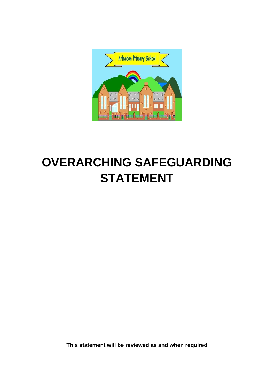

# **OVERARCHING SAFEGUARDING STATEMENT**

**This statement will be reviewed as and when required**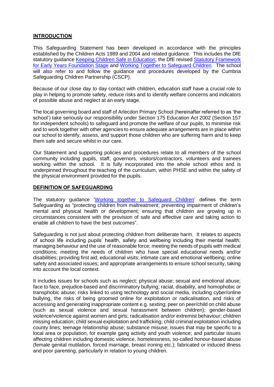# **INTRODUCTION**

This Safeguarding Statement has been developed in accordance with the principles established by the Children Acts 1989 and 2004 and related guidance. This includes the DfE statutory quidance [Keeping Children Safe in Education;](https://www.gov.uk/government/publications/keeping-children-safe-in-education--2) the DfE revised Statutory Framework [for Early Years Foundation Stage](https://www.gov.uk/government/publications/early-years-foundation-stage-framework--2) and [Working Together to](https://www.gov.uk/government/publications/working-together-to-safeguard-children--2) Safeguard Children. The school will also refer to and follow the guidance and procedures developed by the Cumbria Safeguarding Children Partnership (CSCP).

Because of our close day to day contact with children, education staff have a crucial role to play in helping to promote safety, reduce risks and to identify welfare concerns and indicators of possible abuse and neglect at an early stage*.*

The local governing board and staff of Arlecdon Primary School (hereinafter referred to as 'the school') take seriously our responsibility under Section 175 Education Act 2002 (Section 157 for independent schools) to safeguard and promote the welfare of our pupils, to minimise risk and to work together with other agencies to ensure adequate arrangements are in place within our school to identify, assess, and support those children who are suffering harm and to keep them safe and secure whilst in our care.

Our Statement and supporting policies and procedures relate to all members of the school community including pupils, staff, governors, visitors/contractors, volunteers and trainees working within the school. It is fully incorporated into the whole school ethos and is underpinned throughout the teaching of the curriculum, within PHSE and within the safety of the physical environment provided for the pupils.

### **DEFINITION OF SAFEGUARDING**

The statutory guidance ['Working together to Safeguard Children'](https://www.gov.uk/government/publications/working-together-to-safeguard-children--2) defines the term Safeguarding as "protecting children from maltreatment; preventing impairment of children's mental and physical health or development; ensuring that children are growing up in circumstances consistent with the provision of safe and effective care and taking action to enable all children to have the best outcomes".

Safeguarding is not just about protecting children from deliberate harm. It relates to aspects of school life including pupils' health, safety and wellbeing including their mental health; managing behaviour and the use of reasonable force; meeting the needs of pupils with medical conditions; meeting the needs of children who have special educational needs and/or disabilities; providing first aid; educational visits; intimate care and emotional wellbeing; online safety and associated issues; and appropriate arrangements to ensure school security, taking into account the local context.

It includes issues for schools such as neglect; physical abuse; sexual and emotional abuse; face to face, prejudice-based and discriminatory bullying; racial, disability, and homophobic or transphobic abuse; risks linked to using technology and social media, including cyber/online bullying, the risks of being groomed online for exploitation or radicalisation, and risks of accessing and generating inappropriate content e.g. sexting; peer on peer/child on child abuse (such as sexual violence and sexual harassment between children); gender-based violence/violence against women and girls; radicalisation and/or extremist behaviour; children missing education; child sexual exploitation and trafficking; child criminal exploitation including county lines; teenage relationship abuse; substance misuse; issues that may be specific to a local area or population, for example gang activity and youth violence; and particular issues affecting children including domestic violence, homelessness, so-called honour-based abuse (female genital mutilation, forced marriage, breast ironing etc.); fabricated or induced illness and poor parenting, particularly in relation to young children.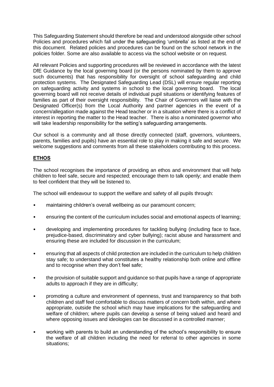This Safeguarding Statement should therefore be read and understood alongside other school Policies and procedures which fall under the safeguarding 'umbrella' as listed at the end of this document. Related policies and procedures can be found on the school network in the policies folder. Some are also available to access via the school website or on request.

All relevant Policies and supporting procedures will be reviewed in accordance with the latest DfE Guidance by the local governing board (or the persons nominated by them to approve such documents) that has responsibility for oversight of school safeguarding and child protection systems. The Designated Safeguarding Lead (DSL) will ensure regular reporting on safeguarding activity and systems in school to the local governing board. The local governing board will not receive details of individual pupil situations or identifying features of families as part of their oversight responsibility. The Chair of Governors will liaise with the Designated Officer(s) from the Local Authority and partner agencies in the event of a concern/allegation made against the Head teacher or in a situation where there is a conflict of interest in reporting the matter to the Head teacher. There is also a nominated governor who will take leadership responsibility for the setting's safeguarding arrangements.

Our school is a community and all those directly connected (staff, governors, volunteers, parents, families and pupils) have an essential role to play in making it safe and secure. We welcome suggestions and comments from all these stakeholders contributing to this process.

# **ETHOS**

The school recognises the importance of providing an ethos and environment that will help children to feel safe, secure and respected; encourage them to talk openly; and enable them to feel confident that they will be listened to.

The school will endeavour to support the welfare and safety of all pupils through:

- maintaining children's overall wellbeing as our paramount concern;
- ensuring the content of the curriculum includes social and emotional aspects of learning;
- developing and implementing procedures for tackling bullying (including face to face, prejudice-based, discriminatory and cyber bullying); racist abuse and harassment and ensuring these are included for discussion in the curriculum;
- ensuring that all aspects of child protection are included in the curriculum to help children stay safe; to understand what constitutes a healthy relationship both online and offline and to recognise when they don't feel safe;
- the provision of suitable support and guidance so that pupils have a range of appropriate adults to approach if they are in difficulty;
- promoting a culture and environment of openness, trust and transparency so that both children and staff feel comfortable to discuss matters of concern both within, and where appropriate, outside the school which may have implications for the safeguarding and welfare of children; where pupils can develop a sense of being valued and heard and where opposing issues and ideologies can be discussed in a controlled manner;
- working with parents to build an understanding of the school's responsibility to ensure the welfare of all children including the need for referral to other agencies in some situations;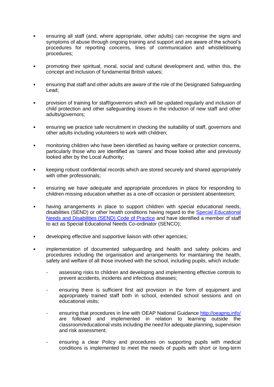- ensuring all staff (and, where appropriate, other adults) can recognise the signs and symptoms of abuse through ongoing training and support and are aware of the school's procedures for reporting concerns, lines of communication and whistleblowing procedures;
- promoting their spiritual, moral, social and cultural development and, within this, the concept and inclusion of fundamental British values;
- ensuring that staff and other adults are aware of the role of the Designated Safeguarding Lead;
- provision of training for staff/governors which will be updated regularly and inclusion of child protection and other safeguarding issues in the induction of new staff and other adults/governors;
- ensuring we practice safe recruitment in checking the suitability of staff, governors and other adults including volunteers to work with children;
- monitoring children who have been identified as having welfare or protection concerns, particularly those who are identified as 'carers' and those looked after and previously looked after by the Local Authority;
- keeping robust confidential records which are stored securely and shared appropriately with other professionals;
- ensuring we have adequate and appropriate procedures in place for responding to children missing education whether as a one-off occasion or persistent absenteeism;
- having arrangements in place to support children with special educational needs, disabilities (SEND) or other health conditions having regard to the [Special Educational](https://www.gov.uk/government/publications/send-code-of-practice-0-to-25)  [Needs and Disabilities \(SEND\) Code of Practice](https://www.gov.uk/government/publications/send-code-of-practice-0-to-25) and have identified a member of staff to act as Special Educational Needs Co-ordinator (SENCO);
- developing effective and supportive liaison with other agencies;
- implementation of documented safeguarding and health and safety policies and procedures including the organisation and arrangements for maintaining the health, safety and welfare of all those involved with the school, including pupils, which include:
	- assessing risks to children and developing and implementing effective controls to prevent accidents, incidents and infectious diseases;
	- ensuring there is sufficient first aid provision in the form of equipment and appropriately trained staff both in school, extended school sessions and on educational visits;
	- ensuring that procedures in line with OEAP National Guidance <http://oeapng.info/> are followed and implemented in relation to learning outside the classroom/educational visits including the need for adequate planning, supervision and risk assessment;
	- ensuring a clear Policy and procedures on supporting pupils with medical conditions is implemented to meet the needs of pupils with short or long-term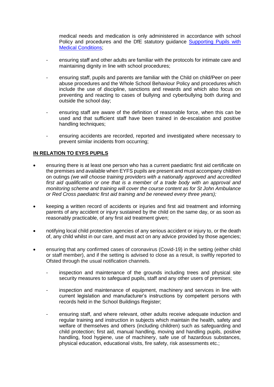medical needs and medication is only administered in accordance with school Policy and procedures and the DfE statutory guidance Supporting Pupils with Medical [Conditions;](https://www.gov.uk/government/publications/supporting-pupils-at-school-with-medical-conditions--3)

- ensuring staff and other adults are familiar with the protocols for intimate care and maintaining dignity in line with school procedures;
- ensuring staff, pupils and parents are familiar with the Child on child/Peer on peer abuse procedures and the Whole School Behaviour Policy and procedures which include the use of discipline, sanctions and rewards and which also focus on preventing and reacting to cases of bullying and cyberbullying both during and outside the school day;
- ensuring staff are aware of the definition of reasonable force, when this can be used and that sufficient staff have been trained in de-escalation and positive handling techniques:
- ensuring accidents are recorded, reported and investigated where necessary to prevent similar incidents from occurring;

# **IN RELATION TO EYFS PUPILS**

- ensuring there is at least one person who has a current paediatric first aid certificate on the premises and available when EYFS pupils are present and must accompany children on outings *(we will choose training providers with a nationally approved and accredited first aid qualification or one that is a member of a trade body with an approval and monitoring scheme and training will cover the course content as for St John Ambulance or Red Cross paediatric first aid training and be renewed every three years);*
- keeping a written record of accidents or injuries and first aid treatment and informing parents of any accident or injury sustained by the child on the same day, or as soon as reasonably practicable, of any first aid treatment given;
- notifying local child protection agencies of any serious accident or injury to, or the death of, any child whilst in our care, and must act on any advice provided by those agencies;
- ensuring that any confirmed cases of coronavirus (Covid-19) in the setting (either child or staff member), and if the setting is advised to close as a result, is swiftly reported to Ofsted through the usual notification channels.
	- inspection and maintenance of the grounds including trees and physical site security measures to safeguard pupils, staff and any other users of premises;
	- inspection and maintenance of equipment, machinery and services in line with current legislation and manufacturer's instructions by competent persons with records held in the School Buildings Register;
	- ensuring staff, and where relevant, other adults receive adequate induction and regular training and instruction in subjects which maintain the health, safety and welfare of themselves and others (including children) such as safeguarding and child protection; first aid, manual handling, moving and handling pupils, positive handling, food hygiene, use of machinery, safe use of hazardous substances, physical education, educational visits, fire safety, risk assessments etc.;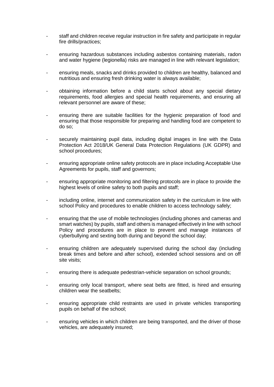- staff and children receive regular instruction in fire safety and participate in regular fire drills/practices;
- ensuring hazardous substances including asbestos containing materials, radon and water hygiene (legionella) risks are managed in line with relevant legislation;
- ensuring meals, snacks and drinks provided to children are healthy, balanced and nutritious and ensuring fresh drinking water is always available;
- obtaining information before a child starts school about any special dietary requirements, food allergies and special health requirements, and ensuring all relevant personnel are aware of these;
- ensuring there are suitable facilities for the hygienic preparation of food and ensuring that those responsible for preparing and handling food are competent to do so;
- securely maintaining pupil data, including digital images in line with the Data Protection Act 2018/UK General Data Protection Regulations (UK GDPR) and school procedures;
- ensuring appropriate online safety protocols are in place including Acceptable Use Agreements for pupils, staff and governors;
- ensuring appropriate monitoring and filtering protocols are in place to provide the highest levels of online safety to both pupils and staff;
- including online, internet and communication safety in the curriculum in line with school Policy and procedures to enable children to access technology safely;
- ensuring that the use of mobile technologies (including phones and cameras and smart watches) by pupils, staff and others is managed effectively in line with school Policy and procedures are in place to prevent and manage instances of cyberbullying and sexting both during and beyond the school day;
- ensuring children are adequately supervised during the school day (including break times and before and after school), extended school sessions and on off site visits;
- ensuring there is adequate pedestrian-vehicle separation on school grounds;
- ensuring only local transport, where seat belts are fitted, is hired and ensuring children wear the seatbelts;
- ensuring appropriate child restraints are used in private vehicles transporting pupils on behalf of the school;
- ensuring vehicles in which children are being transported, and the driver of those vehicles, are adequately insured;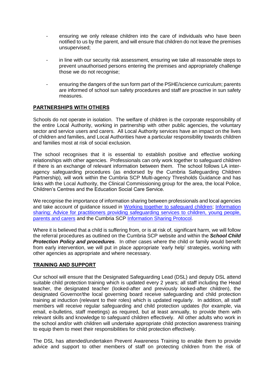- ensuring we only release children into the care of individuals who have been notified to us by the parent, and will ensure that children do not leave the premises unsupervised;
- in line with our security risk assessment, ensuring we take all reasonable steps to prevent unauthorised persons entering the premises and appropriately challenge those we do not recognise;
- ensuring the dangers of the sun form part of the PSHE/science curriculum; parents are informed of school sun safety procedures and staff are proactive in sun safety measures.

# **PARTNERSHIPS WITH OTHERS**

Schools do not operate in isolation. The welfare of children is the corporate responsibility of the entire Local Authority, working in partnership with other public agencies, the voluntary sector and service users and carers. All Local Authority services have an impact on the lives of children and families, and Local Authorities have a particular responsibility towards children and families most at risk of social exclusion.

The school recognises that it is essential to establish positive and effective working relationships with other agencies. Professionals can only work together to safeguard children if there is an exchange of relevant information between them. The school follows LA interagency safeguarding procedures (as endorsed by the Cumbria Safeguarding Children Partnership), will work within the Cumbria SCP Multi-agency Thresholds Guidance and has links with the Local Authority, the Clinical Commissioning group for the area, the local Police, Children's Centres and the Education Social Care Service.

We recognise the importance of information sharing between professionals and local agencies and take account of guidance issued in [Working together to safeguard children;](https://www.gov.uk/government/publications/working-together-to-safeguard-children--2) [Information](https://www.gov.uk/government/publications/safeguarding-practitioners-information-sharing-advice)  [sharing: Advice for practitioners providing safeguarding services to children, young people,](https://www.gov.uk/government/publications/safeguarding-practitioners-information-sharing-advice)  [parents and carers](https://www.gov.uk/government/publications/safeguarding-practitioners-information-sharing-advice) and the Cumbria SCP [Information Sharing Protocol.](https://cumbriasafeguardingchildren.co.uk/LSCB/professionals/informationsharing.asp?cookies=disable)

Where it is believed that a child is suffering from, or is at risk of, significant harm, we will follow the referral procedures as outlined on the Cumbria SCP website and within the *School Child Protection Policy and procedures*. In other cases where the child or family would benefit from early intervention, we will put in place appropriate 'early help' strategies, working with other agencies as appropriate and where necessary.

### **TRAINING AND SUPPORT**

Our school will ensure that the Designated Safeguarding Lead (DSL) and deputy DSL attend suitable child protection training which is updated every 2 years; all staff including the Head teacher, the designated teacher (looked-after and previously looked-after children), the designated Governor/the local governing board receive safeguarding and child protection training at induction (relevant to their roles) which is updated regularly. In addition, all staff members will receive regular safeguarding and child protection updates (for example, via email, e-bulletins, staff meetings) as required, but at least annually, to provide them with relevant skills and knowledge to safeguard children effectively. All other adults who work in the school and/or with children will undertake appropriate child protection awareness training to equip them to meet their responsibilities for child protection effectively.

The DSL has attended/undertaken Prevent Awareness Training to enable them to provide advice and support to other members of staff on protecting children from the risk of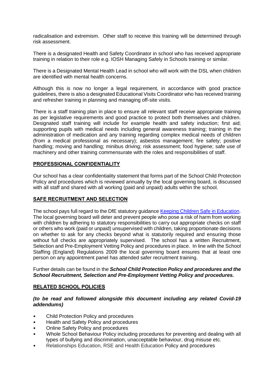radicalisation and extremism. Other staff to receive this training will be determined through risk assessment.

There is a designated Health and Safety Coordinator in school who has received appropriate training in relation to their role e.g. IOSH Managing Safely in Schools training or similar.

There is a Designated Mental Health Lead in school who will work with the DSL when children are identified with mental health concerns.

Although this is now no longer a legal requirement, in accordance with good practice guidelines, there is also a designated Educational Visits Coordinator who has received training and refresher training in planning and managing off-site visits.

There is a staff training plan in place to ensure all relevant staff receive appropriate training as per legislative requirements and good practice to protect both themselves and children. Designated staff training will include for example health and safety induction; first aid; supporting pupils with medical needs including general awareness training; training in the administration of medication and any training regarding complex medical needs of children (from a medical professional as necessary); asbestos management; fire safety; positive handling; moving and handling; minibus driving; risk assessment; food hygiene; safe use of machinery and other training commensurate with the roles and responsibilities of staff.

### **PROFESSIONAL CONFIDENTIALITY**

Our school has a clear confidentiality statement that forms part of the School Child Protection Policy and procedures which is reviewed annually by the local governing board, is discussed with all staff and shared with all working (paid and unpaid) adults within the school.

### **SAFE RECRUITMENT AND SELECTION**

The school pays full regard to the DfE statutory guidance [Keeping Children Safe in Education.](https://www.gov.uk/government/publications/keeping-children-safe-in-education--2) The local governing board will deter and prevent people who pose a risk of harm from working with children by adhering to statutory responsibilities to carry out appropriate checks on staff or others who work (paid or unpaid) unsupervised with children*,* taking proportionate decisions on whether to ask for any checks beyond what is statutorily required and ensuring those without full checks are appropriately supervised. The school has a written Recruitment, Selection and Pre-Employment Vetting Policy and procedures in place. In line with the School Staffing (England) Regulations 2009 the local governing board ensures that at least one person on any appointment panel has attended safer recruitment training.

Further details can be found in the *School Child Protection Policy and procedures and the School Recruitment, Selection and Pre-Employment Vetting Policy and procedures.*

#### **RELATED SCHOOL POLICIES**

*(to be read and followed alongside this document including any related Covid-19 addendums)*

- Child Protection Policy and procedures
- Health and Safety Policy and procedures
- Online Safety Policy and procedures
- Whole School Behaviour Policy including procedures for preventing and dealing with all types of bullying and discrimination, unacceptable behaviour, drug misuse etc.
- Relationships Education, RSE and Health Education Policy and procedures